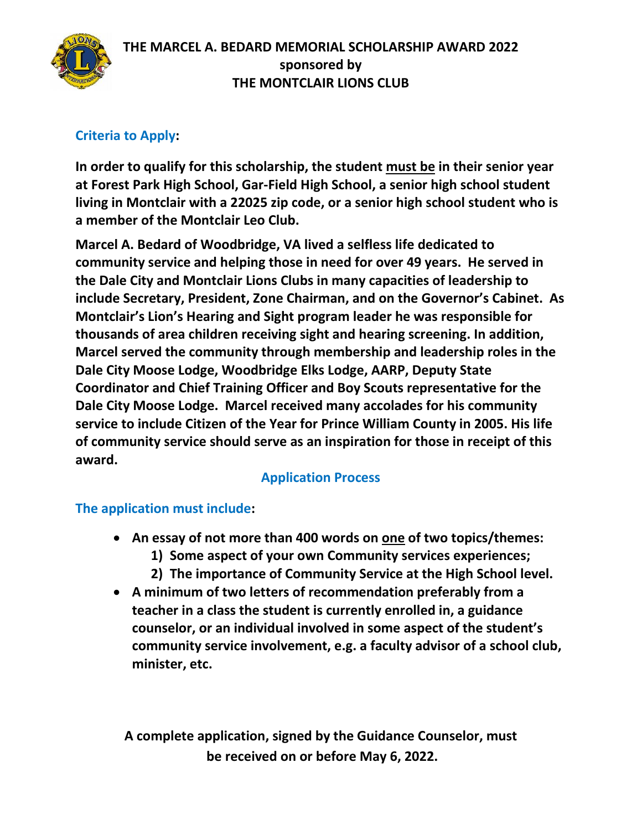

### **Criteria to Apply:**

**In order to qualify for this scholarship, the student must be in their senior year at Forest Park High School, Gar-Field High School, a senior high school student living in Montclair with a 22025 zip code, or a senior high school student who is a member of the Montclair Leo Club.**

**Marcel A. Bedard of Woodbridge, VA lived a selfless life dedicated to community service and helping those in need for over 49 years. He served in the Dale City and Montclair Lions Clubs in many capacities of leadership to include Secretary, President, Zone Chairman, and on the Governor's Cabinet. As Montclair's Lion's Hearing and Sight program leader he was responsible for thousands of area children receiving sight and hearing screening. In addition, Marcel served the community through membership and leadership roles in the Dale City Moose Lodge, Woodbridge Elks Lodge, AARP, Deputy State Coordinator and Chief Training Officer and Boy Scouts representative for the Dale City Moose Lodge. Marcel received many accolades for his community service to include Citizen of the Year for Prince William County in 2005. His life of community service should serve as an inspiration for those in receipt of this award.**

## **Application Process**

### **The application must include:**

- **An essay of not more than 400 words on one of two topics/themes:**
	- **1) Some aspect of your own Community services experiences;**
	- **2) The importance of Community Service at the High School level.**
- **A minimum of two letters of recommendation preferably from a teacher in a class the student is currently enrolled in, a guidance counselor, or an individual involved in some aspect of the student's community service involvement, e.g. a faculty advisor of a school club, minister, etc.**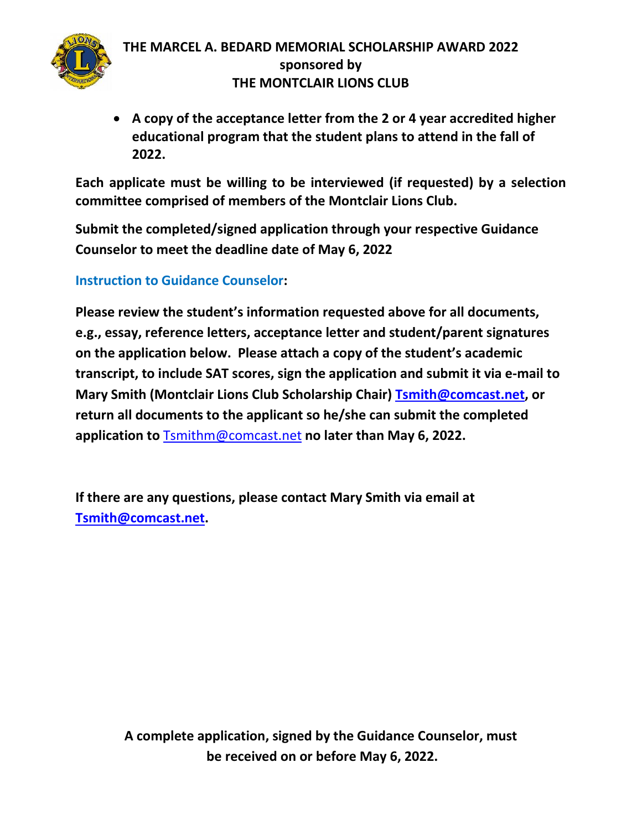

# **THE MARCEL A. BEDARD MEMORIAL SCHOLARSHIP AWARD 2022 sponsored by THE MONTCLAIR LIONS CLUB**

• **A copy of the acceptance letter from the 2 or 4 year accredited higher educational program that the student plans to attend in the fall of 2022.** 

**Each applicate must be willing to be interviewed (if requested) by a selection committee comprised of members of the Montclair Lions Club.**

**Submit the completed/signed application through your respective Guidance Counselor to meet the deadline date of May 6, 2022**

**Instruction to Guidance Counselor:** 

**Please review the student's information requested above for all documents, e.g., essay, reference letters, acceptance letter and student/parent signatures on the application below. Please attach a copy of the student's academic transcript, to include SAT scores, sign the application and submit it via e-mail to Mary Smith (Montclair Lions Club Scholarship Chair) [Tsmith@comcast.net,](mailto:Tsmith@comcast.net) or return all documents to the applicant so he/she can submit the completed application to**[Tsmithm@comcast.net](mailto:Tsmithm@comcast.net) **no later than May 6, 2022.** 

**If there are any questions, please contact Mary Smith via email at [Tsmith@comcast.net.](mailto:Tsmith@comcast.net)**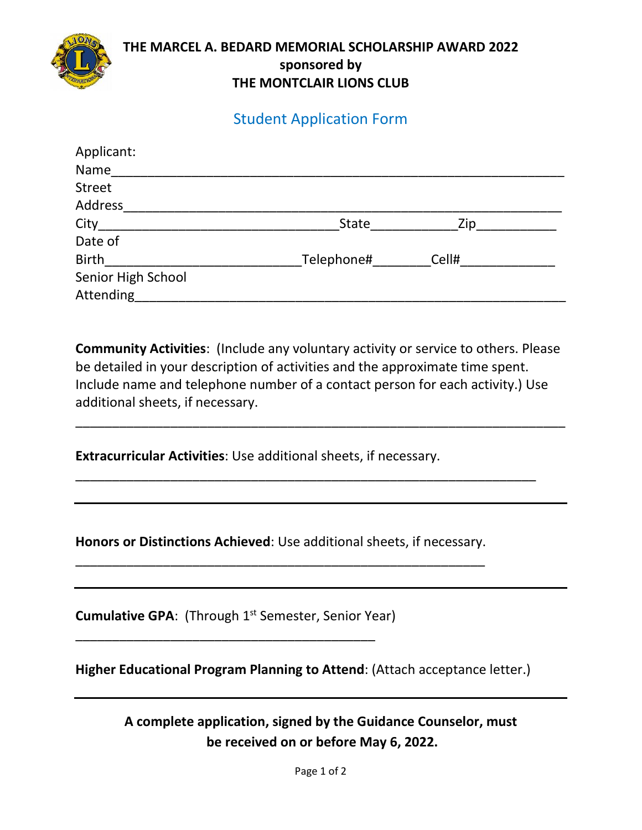

### **THE MARCEL A. BEDARD MEMORIAL SCHOLARSHIP AWARD 2022 sponsored by THE MONTCLAIR LIONS CLUB**

# Student Application Form

| Applicant:         |            |       |
|--------------------|------------|-------|
| Name               |            |       |
| <b>Street</b>      |            |       |
| Address            |            |       |
| City               | State      | Zip   |
| Date of            |            |       |
| <b>Birth</b>       | Telephone# | Cell# |
| Senior High School |            |       |
| Attending          |            |       |

**Community Activities**: (Include any voluntary activity or service to others. Please be detailed in your description of activities and the approximate time spent. Include name and telephone number of a contact person for each activity.) Use additional sheets, if necessary.

\_\_\_\_\_\_\_\_\_\_\_\_\_\_\_\_\_\_\_\_\_\_\_\_\_\_\_\_\_\_\_\_\_\_\_\_\_\_\_\_\_\_\_\_\_\_\_\_\_\_\_\_\_\_\_\_\_\_\_\_\_\_\_\_\_\_\_

\_\_\_\_\_\_\_\_\_\_\_\_\_\_\_\_\_\_\_\_\_\_\_\_\_\_\_\_\_\_\_\_\_\_\_\_\_\_\_\_\_\_\_\_\_\_\_\_\_\_\_\_\_\_\_\_\_\_\_\_\_\_\_

**Extracurricular Activities**: Use additional sheets, if necessary.

**Honors or Distinctions Achieved**: Use additional sheets, if necessary. \_\_\_\_\_\_\_\_\_\_\_\_\_\_\_\_\_\_\_\_\_\_\_\_\_\_\_\_\_\_\_\_\_\_\_\_\_\_\_\_\_\_\_\_\_\_\_\_\_\_\_\_\_\_\_\_

**Cumulative GPA:** (Through 1<sup>st</sup> Semester, Senior Year)

\_\_\_\_\_\_\_\_\_\_\_\_\_\_\_\_\_\_\_\_\_\_\_\_\_\_\_\_\_\_\_\_\_\_\_\_\_\_\_\_\_

**Higher Educational Program Planning to Attend**: (Attach acceptance letter.)